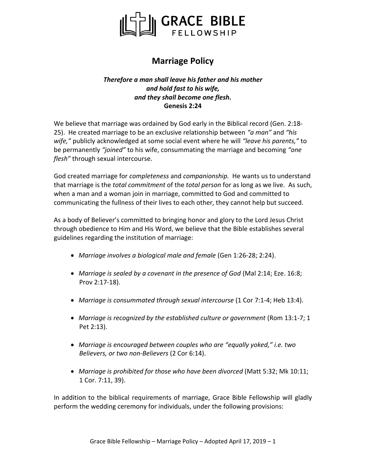

## **Marriage Policy**

## *Therefore a man shall leave his father and his mother and hold fast to his wife, and they shall become one flesh.* **Genesis 2:24**

We believe that marriage was ordained by God early in the Biblical record (Gen. 2:18- 25). He created marriage to be an exclusive relationship between *"a man"* and *"his wife,"* publicly acknowledged at some social event where he will *"leave his parents,"* to be permanently *"joined"* to his wife, consummating the marriage and becoming *"one flesh"* through sexual intercourse.

God created marriage for *completeness* and *companionship.* He wants us to understand that marriage is the *total commitment* of the *total person* for as long as we live. As such, when a man and a woman join in marriage, committed to God and committed to communicating the fullness of their lives to each other, they cannot help but succeed.

As a body of Believer's committed to bringing honor and glory to the Lord Jesus Christ through obedience to Him and His Word, we believe that the Bible establishes several guidelines regarding the institution of marriage:

- • *Marriage involves a biological male and female* (Gen 1:26-28; 2:24).
- • *Marriage is sealed by a covenant in the presence of God* (Mal 2:14; Eze. 16:8; Prov 2:17-18).
- • *Marriage is consummated through sexual intercourse* (1 Cor 7:1-4; Heb 13:4).
- • *Marriage is recognized by the established culture or government* (Rom 13:1-7; 1 Pet 2:13).
- • *Marriage is encouraged between couples who are "equally yoked," i.e. two Believers, or two non-Believers* (2 Cor 6:14).
- • *Marriage is prohibited for those who have been divorced* (Matt 5:32; Mk 10:11; 1 Cor. 7:11, 39).

In addition to the biblical requirements of marriage, Grace Bible Fellowship will gladly perform the wedding ceremony for individuals, under the following provisions: